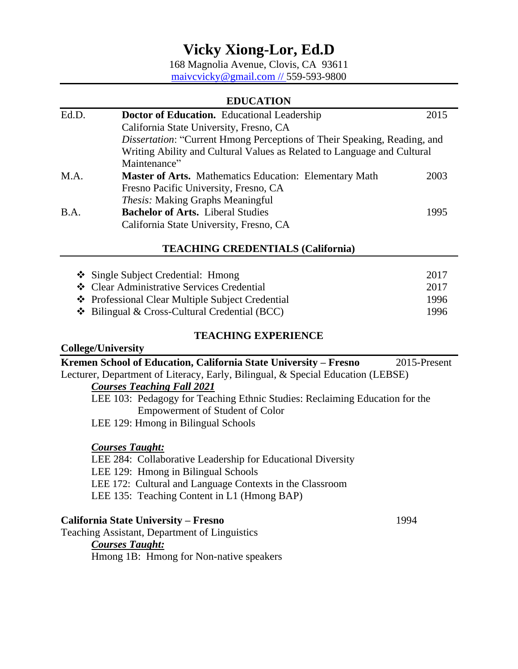168 Magnolia Avenue, Clovis, CA 93611 [maivcvicky@gmail.com](mailto:maivcvicky@gmail.com) // 559-593-9800

### **EDUCATION**

| Ed.D. | <b>Doctor of Education.</b> Educational Leadership                              | 2015 |
|-------|---------------------------------------------------------------------------------|------|
|       | California State University, Fresno, CA                                         |      |
|       | <i>Dissertation:</i> "Current Hmong Perceptions of Their Speaking, Reading, and |      |
|       | Writing Ability and Cultural Values as Related to Language and Cultural         |      |
|       | Maintenance"                                                                    |      |
| M.A.  | <b>Master of Arts.</b> Mathematics Education: Elementary Math                   | 2003 |
|       | Fresno Pacific University, Fresno, CA                                           |      |
|       | <i>Thesis:</i> Making Graphs Meaningful                                         |      |
| B.A.  | <b>Bachelor of Arts.</b> Liberal Studies                                        | 1995 |
|       | California State University, Fresno, CA                                         |      |

## **TEACHING CREDENTIALS (California)**

| ❖ Single Subject Credential: Hmong                    | 2017 |
|-------------------------------------------------------|------|
| ❖ Clear Administrative Services Credential            | 2017 |
| ❖ Professional Clear Multiple Subject Credential      | 1996 |
| $\bullet$ Bilingual & Cross-Cultural Credential (BCC) | 1996 |

## **TEACHING EXPERIENCE**

# **College/University**

| 2015-Present |
|--------------|
|              |
|              |
|              |
|              |
|              |
|              |
|              |
|              |
|              |
|              |
|              |
|              |
|              |

Teaching Assistant, Department of Linguistics

## *Courses Taught:*

Hmong 1B: Hmong for Non-native speakers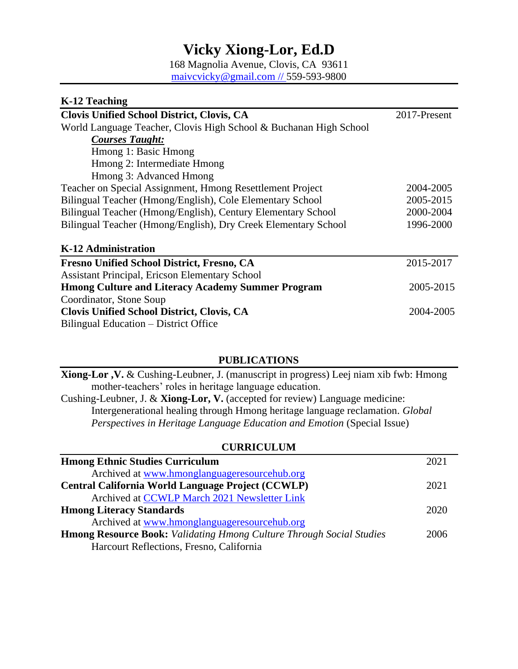168 Magnolia Avenue, Clovis, CA 93611 [maivcvicky@gmail.com](mailto:maivcvicky@gmail.com) // 559-593-9800

| K-12 Teaching                                                     |              |
|-------------------------------------------------------------------|--------------|
| <b>Clovis Unified School District, Clovis, CA</b>                 | 2017-Present |
| World Language Teacher, Clovis High School & Buchanan High School |              |
| <b>Courses Taught:</b>                                            |              |
| Hmong 1: Basic Hmong                                              |              |
| Hmong 2: Intermediate Hmong                                       |              |
| Hmong 3: Advanced Hmong                                           |              |
| Teacher on Special Assignment, Hmong Resettlement Project         | 2004-2005    |
| Bilingual Teacher (Hmong/English), Cole Elementary School         | 2005-2015    |
| Bilingual Teacher (Hmong/English), Century Elementary School      | 2000-2004    |
| Bilingual Teacher (Hmong/English), Dry Creek Elementary School    | 1996-2000    |
| K-12 Administration                                               |              |
| <b>Fresno Unified School District, Fresno, CA</b>                 | 2015-2017    |
| <b>Assistant Principal, Ericson Elementary School</b>             |              |
| <b>Hmong Culture and Literacy Academy Summer Program</b>          | 2005-2015    |
| Coordinator, Stone Soup                                           |              |
| <b>Clovis Unified School District, Clovis, CA</b>                 | 2004-2005    |
| Bilingual Education – District Office                             |              |

## **PUBLICATIONS**

**Xiong-Lor ,V.** & Cushing-Leubner, J. (manuscript in progress) Leej niam xib fwb: Hmong mother-teachers' roles in heritage language education. Cushing-Leubner, J. & **Xiong-Lor, V.** (accepted for review) Language medicine: Intergenerational healing through Hmong heritage language reclamation. *Global Perspectives in Heritage Language Education and Emotion* (Special Issue)

### **CURRICULUM**

| <b>Hmong Ethnic Studies Curriculum</b>                                      |  |
|-----------------------------------------------------------------------------|--|
| Archived at www.hmonglanguageresourcehub.org                                |  |
| Central California World Language Project (CCWLP)                           |  |
| Archived at CCWLP March 2021 Newsletter Link                                |  |
| <b>Hmong Literacy Standards</b>                                             |  |
| Archived at www.hmonglanguageresourcehub.org                                |  |
| <b>Hmong Resource Book:</b> Validating Hmong Culture Through Social Studies |  |
| Harcourt Reflections, Fresno, California                                    |  |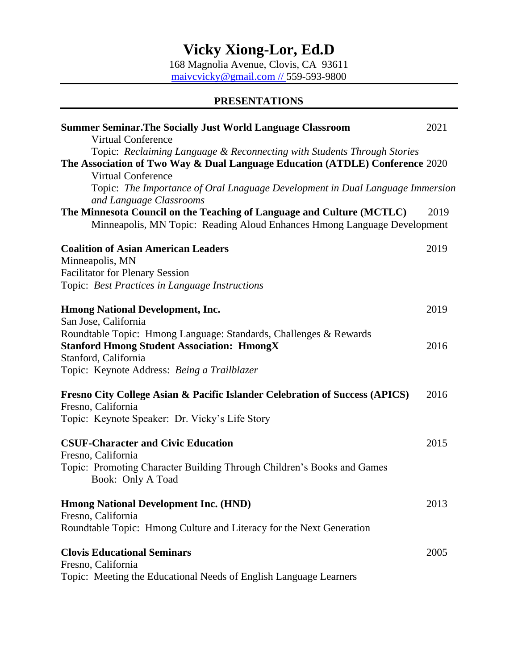168 Magnolia Avenue, Clovis, CA 93611 [maivcvicky@gmail.com](mailto:maivcvicky@gmail.com) // 559-593-9800

## **PRESENTATIONS**

| <b>Summer Seminar. The Socially Just World Language Classroom</b><br><b>Virtual Conference</b>                                                                                       |      |
|--------------------------------------------------------------------------------------------------------------------------------------------------------------------------------------|------|
| Topic: Reclaiming Language & Reconnecting with Students Through Stories<br>The Association of Two Way & Dual Language Education (ATDLE) Conference 2020<br><b>Virtual Conference</b> |      |
| Topic: The Importance of Oral Lnaguage Development in Dual Language Immersion<br>and Language Classrooms                                                                             |      |
| The Minnesota Council on the Teaching of Language and Culture (MCTLC)<br>Minneapolis, MN Topic: Reading Aloud Enhances Hmong Language Development                                    | 2019 |
| <b>Coalition of Asian American Leaders</b><br>Minneapolis, MN<br><b>Facilitator for Plenary Session</b><br>Topic: Best Practices in Language Instructions                            | 2019 |
| <b>Hmong National Development, Inc.</b><br>San Jose, California                                                                                                                      | 2019 |
| Roundtable Topic: Hmong Language: Standards, Challenges & Rewards<br><b>Stanford Hmong Student Association: HmongX</b><br>Stanford, California                                       | 2016 |
| Topic: Keynote Address: Being a Trailblazer                                                                                                                                          |      |
| <b>Fresno City College Asian &amp; Pacific Islander Celebration of Success (APICS)</b><br>Fresno, California<br>Topic: Keynote Speaker: Dr. Vicky's Life Story                       | 2016 |
| <b>CSUF-Character and Civic Education</b><br>Fresno, California<br>Topic: Promoting Character Building Through Children's Books and Games<br>Book: Only A Toad                       | 2015 |
| <b>Hmong National Development Inc. (HND)</b><br>Fresno, California<br>Roundtable Topic: Hmong Culture and Literacy for the Next Generation                                           | 2013 |
| <b>Clovis Educational Seminars</b><br>Fresno, California<br>Topic: Meeting the Educational Needs of English Language Learners                                                        | 2005 |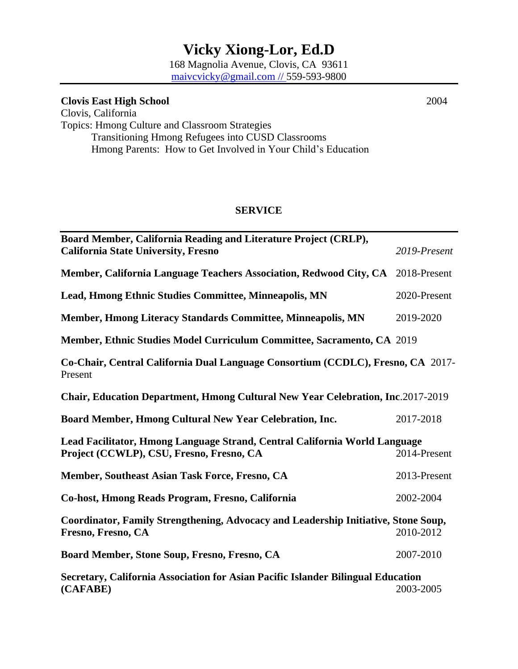168 Magnolia Avenue, Clovis, CA 93611 [maivcvicky@gmail.com](mailto:maivcvicky@gmail.com) // 559-593-9800

**Clovis East High School** 2004 Clovis, California Topics: Hmong Culture and Classroom Strategies Transitioning Hmong Refugees into CUSD Classrooms Hmong Parents: How to Get Involved in Your Child's Education

### **SERVICE**

| Board Member, California Reading and Literature Project (CRLP),<br><b>California State University, Fresno</b> | 2019-Present |  |
|---------------------------------------------------------------------------------------------------------------|--------------|--|
|                                                                                                               |              |  |
| Member, California Language Teachers Association, Redwood City, CA 2018-Present                               |              |  |
| Lead, Hmong Ethnic Studies Committee, Minneapolis, MN                                                         | 2020-Present |  |
| Member, Hmong Literacy Standards Committee, Minneapolis, MN                                                   | 2019-2020    |  |
| Member, Ethnic Studies Model Curriculum Committee, Sacramento, CA 2019                                        |              |  |
| Co-Chair, Central California Dual Language Consortium (CCDLC), Fresno, CA 2017-<br>Present                    |              |  |
| Chair, Education Department, Hmong Cultural New Year Celebration, Inc.2017-2019                               |              |  |
| Board Member, Hmong Cultural New Year Celebration, Inc.                                                       | 2017-2018    |  |
| Lead Facilitator, Hmong Language Strand, Central California World Language                                    |              |  |
| Project (CCWLP), CSU, Fresno, Fresno, CA                                                                      | 2014-Present |  |
| Member, Southeast Asian Task Force, Fresno, CA                                                                | 2013-Present |  |
| Co-host, Hmong Reads Program, Fresno, California                                                              | 2002-2004    |  |
| Coordinator, Family Strengthening, Advocacy and Leadership Initiative, Stone Soup,<br>Fresno, Fresno, CA      | 2010-2012    |  |
| Board Member, Stone Soup, Fresno, Fresno, CA                                                                  | 2007-2010    |  |
| Secretary, California Association for Asian Pacific Islander Bilingual Education<br>(CAFABE)                  | 2003-2005    |  |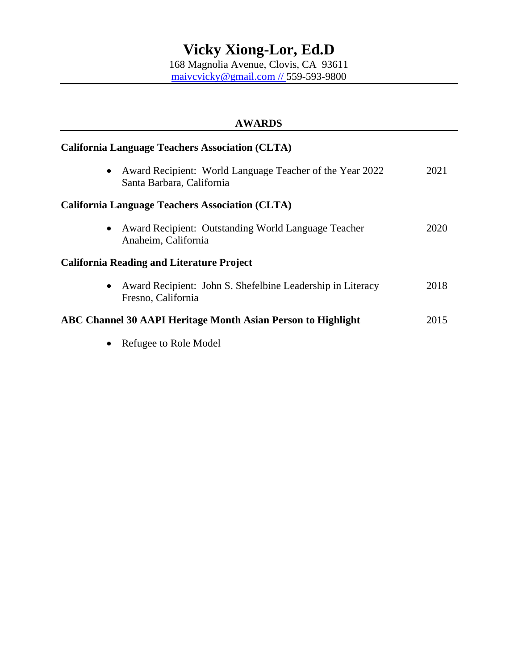168 Magnolia Avenue, Clovis, CA 93611 [maivcvicky@gmail.com](mailto:maivcvicky@gmail.com) // 559-593-9800

| <b>AWARDS</b><br><b>California Language Teachers Association (CLTA)</b>                       |      |  |
|-----------------------------------------------------------------------------------------------|------|--|
|                                                                                               |      |  |
| <b>California Language Teachers Association (CLTA)</b>                                        |      |  |
| Award Recipient: Outstanding World Language Teacher<br>$\bullet$<br>Anaheim, California       | 2020 |  |
| <b>California Reading and Literature Project</b>                                              |      |  |
| Award Recipient: John S. Shefelbine Leadership in Literacy<br>$\bullet$<br>Fresno, California | 2018 |  |
| ABC Channel 30 AAPI Heritage Month Asian Person to Highlight                                  | 2015 |  |
| Refugee to Role Model                                                                         |      |  |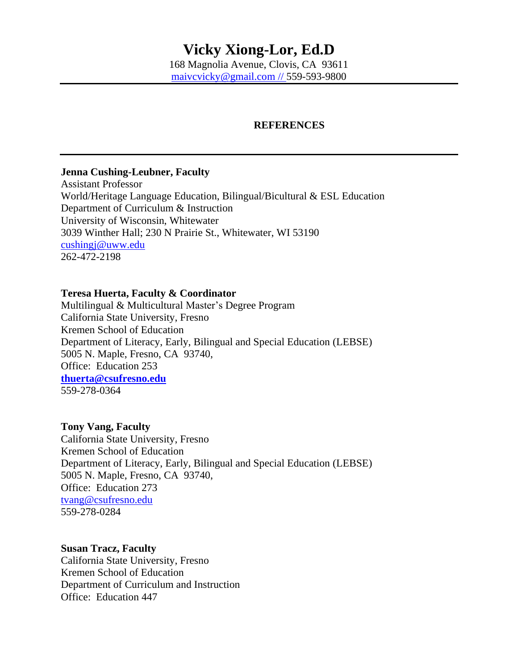## **REFERENCES**

### **Jenna Cushing-Leubner, Faculty**

Assistant Professor World/Heritage Language Education, Bilingual/Bicultural & ESL Education Department of Curriculum & Instruction University of Wisconsin, Whitewater 3039 Winther Hall; 230 N Prairie St., Whitewater, WI 53190 [cushingj@uww.edu](mailto:cushingj@uww.edu) 262-472-2198

### **Teresa Huerta, Faculty & Coordinator**

Multilingual & Multicultural Master's Degree Program California State University, Fresno Kremen School of Education Department of Literacy, Early, Bilingual and Special Education (LEBSE) 5005 N. Maple, Fresno, CA 93740, Office: Education 253 **[thuerta@csufresno.edu](mailto:thuerta@csufresno.edu)** 559-278-0364

### **Tony Vang, Faculty**

California State University, Fresno Kremen School of Education Department of Literacy, Early, Bilingual and Special Education (LEBSE) 5005 N. Maple, Fresno, CA 93740, Office: Education 273 [tvang@csufresno.edu](mailto:tvang@csufresno.edu) 559-278-0284

### **Susan Tracz, Faculty**

California State University, Fresno Kremen School of Education Department of Curriculum and Instruction Office: Education 447